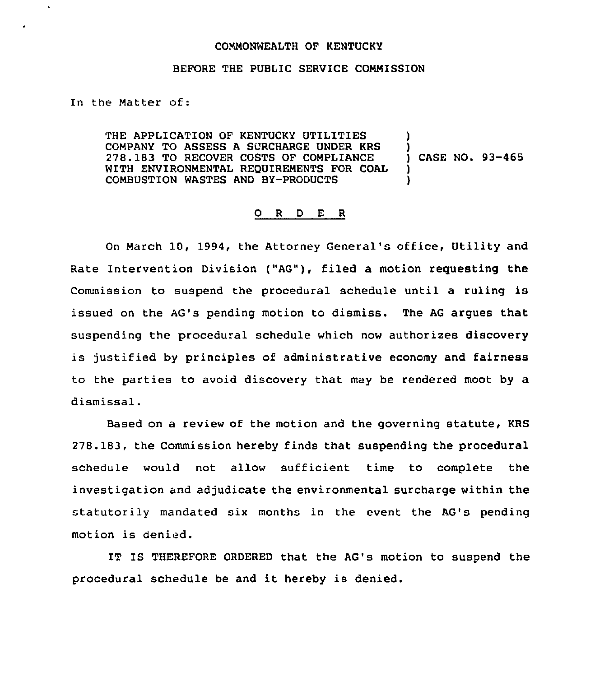## COMMONWEALTH OF KENTUCKY

## BEFORE THE PUBLIC SERVICE COMMISSION

In the Matter of:

k.

THE APPLICATION OF KENTUCKY UTILITIES COMPANY TO ASSESS A SURCHARGE UNDER KRS 278.183 TO RECOVER COSTS OF COMPLIANCE WITH ENVIRONMENTAL REQUIREMENTS FOR COAL COMBUSTION WASTES AND BY-PRODUCTS ) ) ) CASE NO. 93-465 ) )

## 0 <sup>R</sup> <sup>D</sup> <sup>E</sup> <sup>R</sup>

On March 10, 1994, the Attorney General's office, Utility and Rate Intervention Division ("AG"), filed a motion requesting the Commission to suspend the procedural schedule until a ruling is issued on the AG's pending motion to dismiss, The AG argues that suspending the procedural schedule which now authorizes discovery is justified by principles of administrative economy and fairness to the parties to avoid discovery that may be rendered moot by a dismissal.

Based on a review of the motion and the governing statute, KRS 278.183, the Commission hereby finds that suspending the procedural schedule would not allow sufficient time to complete the investigation and adjudicate the environmental surcharge within the statutorily mandated six months in the event the AG's pending motion is denied.

IT IS THEREFORE ORDERED that the AG's motion to suspend the procedural schedule be and it hereby is denied.